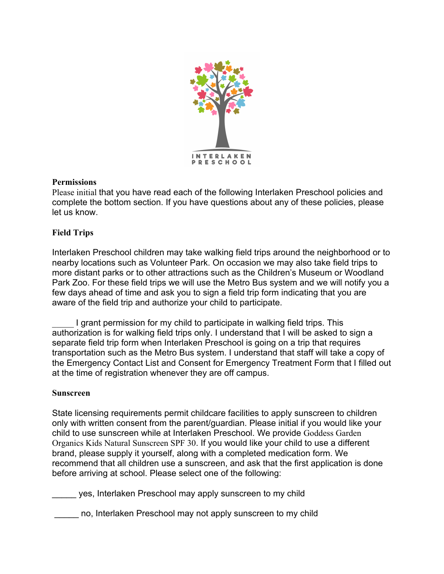

## **Permissions**

Please initial that you have read each of the following Interlaken Preschool policies and complete the bottom section. If you have questions about any of these policies, please let us know.

# **Field Trips**

Interlaken Preschool children may take walking field trips around the neighborhood or to nearby locations such as Volunteer Park. On occasion we may also take field trips to more distant parks or to other attractions such as the Children's Museum or Woodland Park Zoo. For these field trips we will use the Metro Bus system and we will notify you a few days ahead of time and ask you to sign a field trip form indicating that you are aware of the field trip and authorize your child to participate.

I grant permission for my child to participate in walking field trips. This authorization is for walking field trips only. I understand that I will be asked to sign a separate field trip form when Interlaken Preschool is going on a trip that requires transportation such as the Metro Bus system. I understand that staff will take a copy of the Emergency Contact List and Consent for Emergency Treatment Form that I filled out at the time of registration whenever they are off campus.

# **Sunscreen**

State licensing requirements permit childcare facilities to apply sunscreen to children only with written consent from the parent/guardian. Please initial if you would like your child to use sunscreen while at Interlaken Preschool. We provide Goddess Garden Organics Kids Natural Sunscreen SPF 30. If you would like your child to use a different brand, please supply it yourself, along with a completed medication form. We recommend that all children use a sunscreen, and ask that the first application is done before arriving at school. Please select one of the following:

\_\_\_\_\_ yes, Interlaken Preschool may apply sunscreen to my child

no, Interlaken Preschool may not apply sunscreen to my child